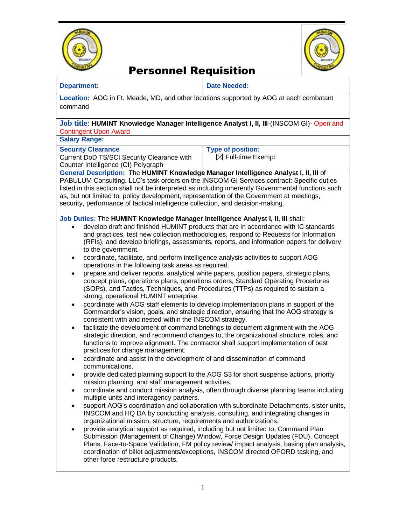



## Personnel Requisition

#### **Department: Date Needed:**

**Location:** AOG in Ft. Meade, MD, and other locations supported by AOG at each combatant command

#### **Job title**: **HUMINT Knowledge Manager Intelligence Analyst I, II, III**-(INSCOM GI)- Open and Contingent Upon Award

**Salary Range:** 

### **Security Clearance**

Current DoD TS/SCI Security Clearance with Counter Intelligence (CI) Polygraph

**Type of position:** 

 $\boxtimes$  Full-time Exempt

### **General Description:** The **HUMINT Knowledge Manager Intelligence Analyst I, II, III** of

PABULUM Consulting, LLC's task orders on the INSCOM GI Services contract: Specific duties listed in this section shall not be interpreted as including inherently Governmental functions such as, but not limited to, policy development, representation of the Government at meetings, security, performance of tactical intelligence collection, and decision-making.

#### **Job Duties:** The **HUMINT Knowledge Manager Intelligence Analyst I, II, III** shall:

- develop draft and finished HUMINT products that are in accordance with IC standards and practices, test new collection methodologies, respond to Requests for Information (RFIs), and develop briefings, assessments, reports, and information papers for delivery to the government.
- coordinate, facilitate, and perform intelligence analysis activities to support AOG operations in the following task areas as required.
- prepare and deliver reports, analytical white papers, position papers, strategic plans, concept plans, operations plans, operations orders, Standard Operating Procedures (SOPs), and Tactics, Techniques, and Procedures (TTPs) as required to sustain a strong, operational HUMINT enterprise.
- coordinate with AOG staff elements to develop implementation plans in support of the Commander's vision, goals, and strategic direction, ensuring that the AOG strategy is consistent with and nested within the INSCOM strategy.
- facilitate the development of command briefings to document alignment with the AOG strategic direction, and recommend changes to, the organizational structure, roles, and functions to improve alignment. The contractor shall support implementation of best practices for change management.
- coordinate and assist in the development of and dissemination of command communications.
- provide dedicated planning support to the AOG S3 for short suspense actions, priority mission planning, and staff management activities.
- coordinate and conduct mission analysis, often through diverse planning teams including multiple units and interagency partners.
- support AOG's coordination and collaboration with subordinate Detachments, sister units, INSCOM and HQ DA by conducting analysis, consulting, and integrating changes in organizational mission, structure, requirements and authorizations.
- provide analytical support as required, including but not limited to, Command Plan Submission (Management of Change) Window, Force Design Updates (FDU), Concept Plans, Face-to-Space Validation, FM policy review/ impact analysis, basing plan analysis, coordination of billet adjustments/exceptions, INSCOM directed OPORD tasking, and other force restructure products.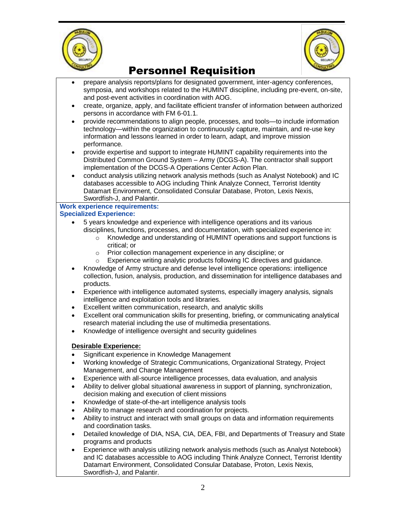



# Personnel Requisition

- prepare analysis reports/plans for designated government, inter-agency conferences, symposia, and workshops related to the HUMINT discipline, including pre-event, on-site, and post-event activities in coordination with AOG.
- create, organize, apply, and facilitate efficient transfer of information between authorized persons in accordance with FM 6-01.1.
- provide recommendations to align people, processes, and tools—to include information technology—within the organization to continuously capture, maintain, and re-use key information and lessons learned in order to learn, adapt, and improve mission performance.
- provide expertise and support to integrate HUMINT capability requirements into the Distributed Common Ground System – Army (DCGS-A). The contractor shall support implementation of the DCGS-A Operations Center Action Plan.
- conduct analysis utilizing network analysis methods (such as Analyst Notebook) and IC databases accessible to AOG including Think Analyze Connect, Terrorist Identity Datamart Environment, Consolidated Consular Database, Proton, Lexis Nexis, Swordfish-J, and Palantir.

# **Work experience requirements:**

### **Specialized Experience:**

- 5 years knowledge and experience with intelligence operations and its various disciplines, functions, processes, and documentation, with specialized experience in:
	- o Knowledge and understanding of HUMINT operations and support functions is critical; or
	- o Prior collection management experience in any discipline; or
	- o Experience writing analytic products following IC directives and guidance.
- Knowledge of Army structure and defense level intelligence operations: intelligence collection, fusion, analysis, production, and dissemination for intelligence databases and products.
- Experience with intelligence automated systems, especially imagery analysis, signals intelligence and exploitation tools and libraries.
- Excellent written communication, research, and analytic skills
- Excellent oral communication skills for presenting, briefing, or communicating analytical research material including the use of multimedia presentations.
- Knowledge of intelligence oversight and security guidelines

### **Desirable Experience:**

- Significant experience in Knowledge Management
- Working knowledge of Strategic Communications, Organizational Strategy, Project Management, and Change Management
- Experience with all-source intelligence processes, data evaluation, and analysis
- Ability to deliver global situational awareness in support of planning, synchronization, decision making and execution of client missions
- Knowledge of state-of-the-art intelligence analysis tools
- Ability to manage research and coordination for projects.
- Ability to instruct and interact with small groups on data and information requirements and coordination tasks.
- Detailed knowledge of DIA, NSA, CIA, DEA, FBI, and Departments of Treasury and State programs and products
- Experience with analysis utilizing network analysis methods (such as Analyst Notebook) and IC databases accessible to AOG including Think Analyze Connect, Terrorist Identity Datamart Environment, Consolidated Consular Database, Proton, Lexis Nexis, Swordfish-J, and Palantir.